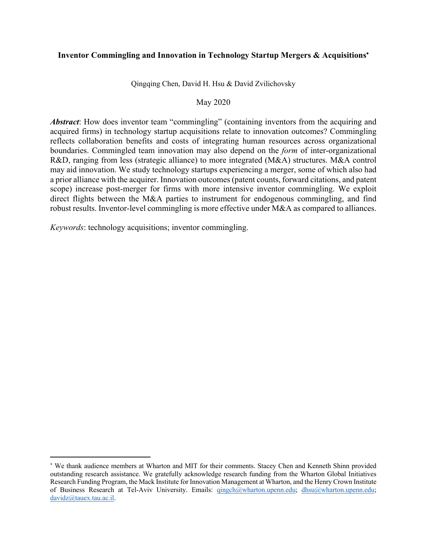# **Inventor Commingling and Innovation in Technology Startup Mergers & Acquisitions**\*

Qingqing Chen, David H. Hsu & David Zvilichovsky

### May 2020

*Abstract*: How does inventor team "commingling" (containing inventors from the acquiring and acquired firms) in technology startup acquisitions relate to innovation outcomes? Commingling reflects collaboration benefits and costs of integrating human resources across organizational boundaries. Commingled team innovation may also depend on the *form* of inter-organizational R&D, ranging from less (strategic alliance) to more integrated (M&A) structures. M&A control may aid innovation. We study technology startups experiencing a merger, some of which also had a prior alliance with the acquirer. Innovation outcomes (patent counts, forward citations, and patent scope) increase post-merger for firms with more intensive inventor commingling. We exploit direct flights between the M&A parties to instrument for endogenous commingling, and find robust results. Inventor-level commingling is more effective under M&A as compared to alliances.

*Keywords*: technology acquisitions; inventor commingling.

<sup>\*</sup> We thank audience members at Wharton and MIT for their comments. Stacey Chen and Kenneth Shinn provided outstanding research assistance. We gratefully acknowledge research funding from the Wharton Global Initiatives Research Funding Program, the Mack Institute for Innovation Management at Wharton, and the Henry Crown Institute of Business Research at Tel-Aviv University. Emails: qingch@wharton.upenn.edu; dhsu@wharton.upenn.edu; davidz@tauex.tau.ac.il.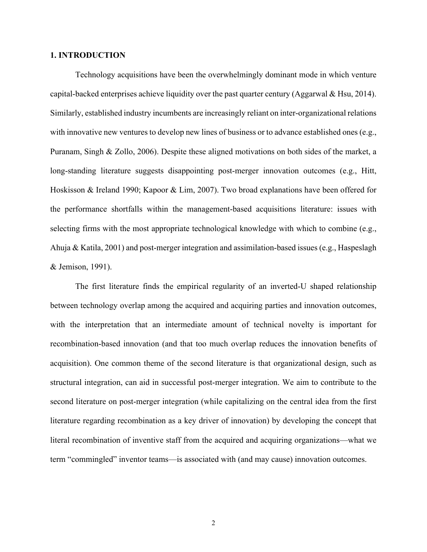### **1. INTRODUCTION**

Technology acquisitions have been the overwhelmingly dominant mode in which venture capital-backed enterprises achieve liquidity over the past quarter century (Aggarwal & Hsu, 2014). Similarly, established industry incumbents are increasingly reliant on inter-organizational relations with innovative new ventures to develop new lines of business or to advance established ones (e.g., Puranam, Singh & Zollo, 2006). Despite these aligned motivations on both sides of the market, a long-standing literature suggests disappointing post-merger innovation outcomes (e.g., Hitt, Hoskisson & Ireland 1990; Kapoor & Lim, 2007). Two broad explanations have been offered for the performance shortfalls within the management-based acquisitions literature: issues with selecting firms with the most appropriate technological knowledge with which to combine (e.g., Ahuja & Katila, 2001) and post-merger integration and assimilation-based issues (e.g., Haspeslagh & Jemison, 1991).

The first literature finds the empirical regularity of an inverted-U shaped relationship between technology overlap among the acquired and acquiring parties and innovation outcomes, with the interpretation that an intermediate amount of technical novelty is important for recombination-based innovation (and that too much overlap reduces the innovation benefits of acquisition). One common theme of the second literature is that organizational design, such as structural integration, can aid in successful post-merger integration. We aim to contribute to the second literature on post-merger integration (while capitalizing on the central idea from the first literature regarding recombination as a key driver of innovation) by developing the concept that literal recombination of inventive staff from the acquired and acquiring organizations—what we term "commingled" inventor teams—is associated with (and may cause) innovation outcomes.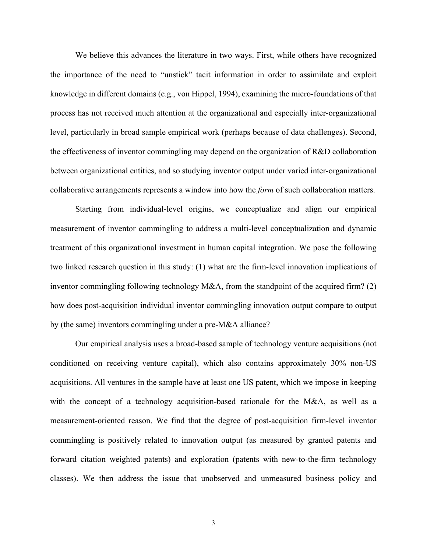We believe this advances the literature in two ways. First, while others have recognized the importance of the need to "unstick" tacit information in order to assimilate and exploit knowledge in different domains (e.g., von Hippel, 1994), examining the micro-foundations of that process has not received much attention at the organizational and especially inter-organizational level, particularly in broad sample empirical work (perhaps because of data challenges). Second, the effectiveness of inventor commingling may depend on the organization of R&D collaboration between organizational entities, and so studying inventor output under varied inter-organizational collaborative arrangements represents a window into how the *form* of such collaboration matters.

Starting from individual-level origins, we conceptualize and align our empirical measurement of inventor commingling to address a multi-level conceptualization and dynamic treatment of this organizational investment in human capital integration. We pose the following two linked research question in this study: (1) what are the firm-level innovation implications of inventor commingling following technology M&A, from the standpoint of the acquired firm? (2) how does post-acquisition individual inventor commingling innovation output compare to output by (the same) inventors commingling under a pre-M&A alliance?

Our empirical analysis uses a broad-based sample of technology venture acquisitions (not conditioned on receiving venture capital), which also contains approximately 30% non-US acquisitions. All ventures in the sample have at least one US patent, which we impose in keeping with the concept of a technology acquisition-based rationale for the M&A, as well as a measurement-oriented reason. We find that the degree of post-acquisition firm-level inventor commingling is positively related to innovation output (as measured by granted patents and forward citation weighted patents) and exploration (patents with new-to-the-firm technology classes). We then address the issue that unobserved and unmeasured business policy and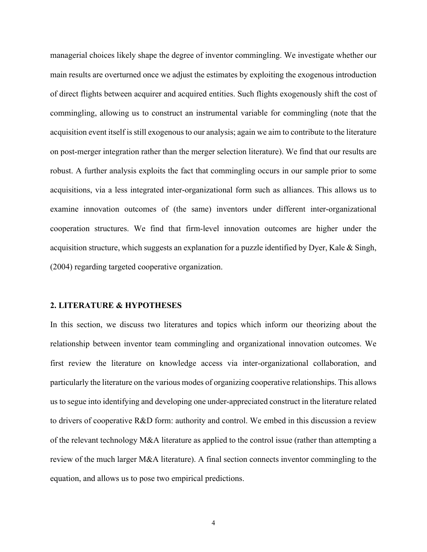managerial choices likely shape the degree of inventor commingling. We investigate whether our main results are overturned once we adjust the estimates by exploiting the exogenous introduction of direct flights between acquirer and acquired entities. Such flights exogenously shift the cost of commingling, allowing us to construct an instrumental variable for commingling (note that the acquisition event itself is still exogenous to our analysis; again we aim to contribute to the literature on post-merger integration rather than the merger selection literature). We find that our results are robust. A further analysis exploits the fact that commingling occurs in our sample prior to some acquisitions, via a less integrated inter-organizational form such as alliances. This allows us to examine innovation outcomes of (the same) inventors under different inter-organizational cooperation structures. We find that firm-level innovation outcomes are higher under the acquisition structure, which suggests an explanation for a puzzle identified by Dyer, Kale & Singh, (2004) regarding targeted cooperative organization.

#### **2. LITERATURE & HYPOTHESES**

In this section, we discuss two literatures and topics which inform our theorizing about the relationship between inventor team commingling and organizational innovation outcomes. We first review the literature on knowledge access via inter-organizational collaboration, and particularly the literature on the various modes of organizing cooperative relationships. This allows us to segue into identifying and developing one under-appreciated construct in the literature related to drivers of cooperative R&D form: authority and control. We embed in this discussion a review of the relevant technology M&A literature as applied to the control issue (rather than attempting a review of the much larger M&A literature). A final section connects inventor commingling to the equation, and allows us to pose two empirical predictions.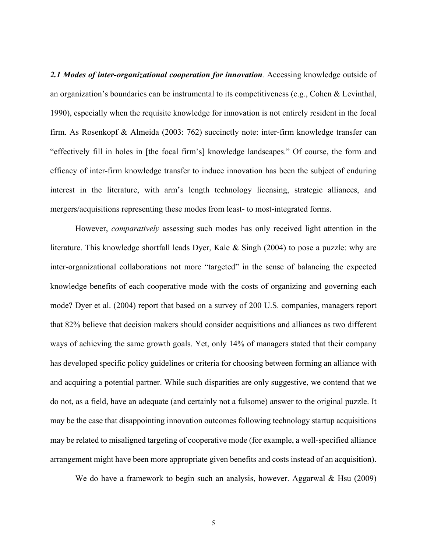*2.1 Modes of inter-organizational cooperation for innovation.* Accessing knowledge outside of an organization's boundaries can be instrumental to its competitiveness (e.g., Cohen & Levinthal, 1990), especially when the requisite knowledge for innovation is not entirely resident in the focal firm. As Rosenkopf & Almeida (2003: 762) succinctly note: inter-firm knowledge transfer can "effectively fill in holes in [the focal firm's] knowledge landscapes." Of course, the form and efficacy of inter-firm knowledge transfer to induce innovation has been the subject of enduring interest in the literature, with arm's length technology licensing, strategic alliances, and mergers/acquisitions representing these modes from least- to most-integrated forms.

However, *comparatively* assessing such modes has only received light attention in the literature. This knowledge shortfall leads Dyer, Kale & Singh (2004) to pose a puzzle: why are inter-organizational collaborations not more "targeted" in the sense of balancing the expected knowledge benefits of each cooperative mode with the costs of organizing and governing each mode? Dyer et al. (2004) report that based on a survey of 200 U.S. companies, managers report that 82% believe that decision makers should consider acquisitions and alliances as two different ways of achieving the same growth goals. Yet, only 14% of managers stated that their company has developed specific policy guidelines or criteria for choosing between forming an alliance with and acquiring a potential partner. While such disparities are only suggestive, we contend that we do not, as a field, have an adequate (and certainly not a fulsome) answer to the original puzzle. It may be the case that disappointing innovation outcomes following technology startup acquisitions may be related to misaligned targeting of cooperative mode (for example, a well-specified alliance arrangement might have been more appropriate given benefits and costs instead of an acquisition).

We do have a framework to begin such an analysis, however. Aggarwal & Hsu (2009)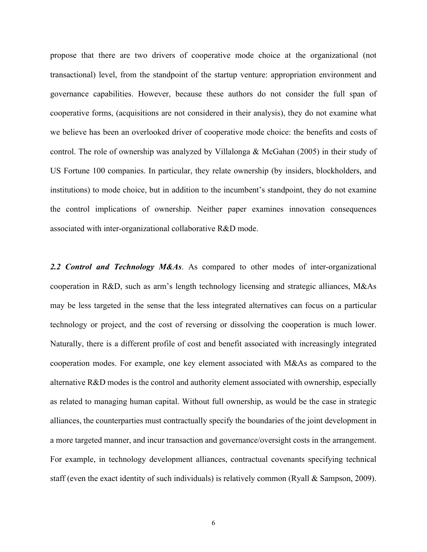propose that there are two drivers of cooperative mode choice at the organizational (not transactional) level, from the standpoint of the startup venture: appropriation environment and governance capabilities. However, because these authors do not consider the full span of cooperative forms, (acquisitions are not considered in their analysis), they do not examine what we believe has been an overlooked driver of cooperative mode choice: the benefits and costs of control. The role of ownership was analyzed by Villalonga & McGahan (2005) in their study of US Fortune 100 companies. In particular, they relate ownership (by insiders, blockholders, and institutions) to mode choice, but in addition to the incumbent's standpoint, they do not examine the control implications of ownership. Neither paper examines innovation consequences associated with inter-organizational collaborative R&D mode.

*2.2 Control and Technology M&As*. As compared to other modes of inter-organizational cooperation in R&D, such as arm's length technology licensing and strategic alliances, M&As may be less targeted in the sense that the less integrated alternatives can focus on a particular technology or project, and the cost of reversing or dissolving the cooperation is much lower. Naturally, there is a different profile of cost and benefit associated with increasingly integrated cooperation modes. For example, one key element associated with M&As as compared to the alternative R&D modes is the control and authority element associated with ownership, especially as related to managing human capital. Without full ownership, as would be the case in strategic alliances, the counterparties must contractually specify the boundaries of the joint development in a more targeted manner, and incur transaction and governance/oversight costs in the arrangement. For example, in technology development alliances, contractual covenants specifying technical staff (even the exact identity of such individuals) is relatively common (Ryall & Sampson, 2009).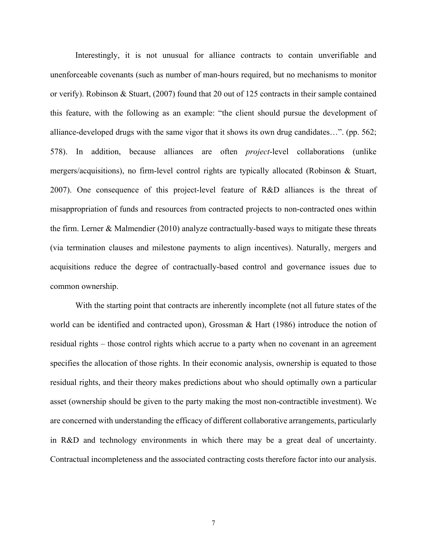Interestingly, it is not unusual for alliance contracts to contain unverifiable and unenforceable covenants (such as number of man-hours required, but no mechanisms to monitor or verify). Robinson & Stuart, (2007) found that 20 out of 125 contracts in their sample contained this feature, with the following as an example: "the client should pursue the development of alliance-developed drugs with the same vigor that it shows its own drug candidates…". (pp. 562; 578). In addition, because alliances are often *project*-level collaborations (unlike mergers/acquisitions), no firm-level control rights are typically allocated (Robinson & Stuart, 2007). One consequence of this project-level feature of R&D alliances is the threat of misappropriation of funds and resources from contracted projects to non-contracted ones within the firm. Lerner & Malmendier (2010) analyze contractually-based ways to mitigate these threats (via termination clauses and milestone payments to align incentives). Naturally, mergers and acquisitions reduce the degree of contractually-based control and governance issues due to common ownership.

With the starting point that contracts are inherently incomplete (not all future states of the world can be identified and contracted upon), Grossman & Hart (1986) introduce the notion of residual rights – those control rights which accrue to a party when no covenant in an agreement specifies the allocation of those rights. In their economic analysis, ownership is equated to those residual rights, and their theory makes predictions about who should optimally own a particular asset (ownership should be given to the party making the most non-contractible investment). We are concerned with understanding the efficacy of different collaborative arrangements, particularly in R&D and technology environments in which there may be a great deal of uncertainty. Contractual incompleteness and the associated contracting costs therefore factor into our analysis.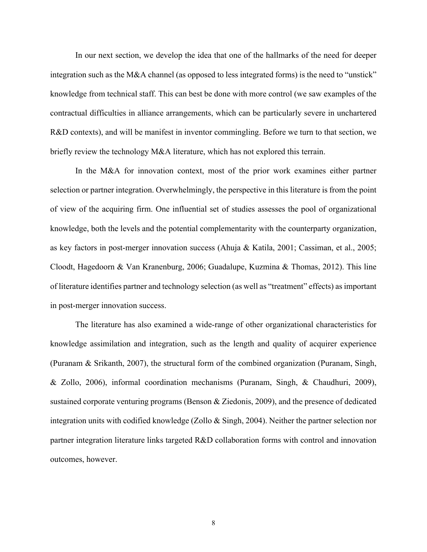In our next section, we develop the idea that one of the hallmarks of the need for deeper integration such as the M&A channel (as opposed to less integrated forms) is the need to "unstick" knowledge from technical staff. This can best be done with more control (we saw examples of the contractual difficulties in alliance arrangements, which can be particularly severe in unchartered R&D contexts), and will be manifest in inventor commingling. Before we turn to that section, we briefly review the technology M&A literature, which has not explored this terrain.

In the M&A for innovation context, most of the prior work examines either partner selection or partner integration. Overwhelmingly, the perspective in this literature is from the point of view of the acquiring firm. One influential set of studies assesses the pool of organizational knowledge, both the levels and the potential complementarity with the counterparty organization, as key factors in post-merger innovation success (Ahuja & Katila, 2001; Cassiman, et al., 2005; Cloodt, Hagedoorn & Van Kranenburg, 2006; Guadalupe, Kuzmina & Thomas, 2012). This line of literature identifies partner and technology selection (as well as "treatment" effects) as important in post-merger innovation success.

The literature has also examined a wide-range of other organizational characteristics for knowledge assimilation and integration, such as the length and quality of acquirer experience (Puranam & Srikanth, 2007), the structural form of the combined organization (Puranam, Singh, & Zollo, 2006), informal coordination mechanisms (Puranam, Singh, & Chaudhuri, 2009), sustained corporate venturing programs (Benson & Ziedonis, 2009), and the presence of dedicated integration units with codified knowledge (Zollo & Singh, 2004). Neither the partner selection nor partner integration literature links targeted R&D collaboration forms with control and innovation outcomes, however.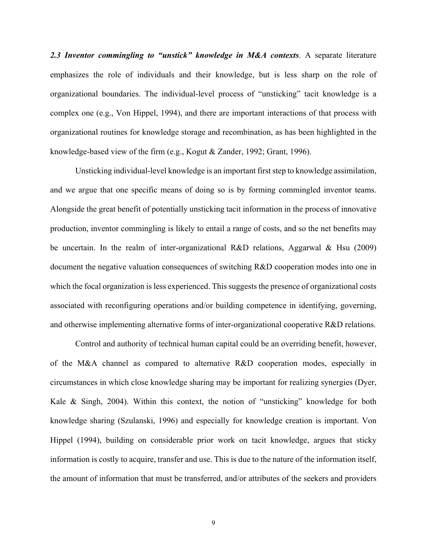*2.3 Inventor commingling to "unstick" knowledge in M&A contexts*. A separate literature emphasizes the role of individuals and their knowledge, but is less sharp on the role of organizational boundaries. The individual-level process of "unsticking" tacit knowledge is a complex one (e.g., Von Hippel, 1994), and there are important interactions of that process with organizational routines for knowledge storage and recombination, as has been highlighted in the knowledge-based view of the firm (e.g., Kogut & Zander, 1992; Grant, 1996).

Unsticking individual-level knowledge is an important first step to knowledge assimilation, and we argue that one specific means of doing so is by forming commingled inventor teams. Alongside the great benefit of potentially unsticking tacit information in the process of innovative production, inventor commingling is likely to entail a range of costs, and so the net benefits may be uncertain. In the realm of inter-organizational R&D relations, Aggarwal & Hsu (2009) document the negative valuation consequences of switching R&D cooperation modes into one in which the focal organization is less experienced. This suggests the presence of organizational costs associated with reconfiguring operations and/or building competence in identifying, governing, and otherwise implementing alternative forms of inter-organizational cooperative R&D relations.

Control and authority of technical human capital could be an overriding benefit, however, of the M&A channel as compared to alternative R&D cooperation modes, especially in circumstances in which close knowledge sharing may be important for realizing synergies (Dyer, Kale & Singh, 2004). Within this context, the notion of "unsticking" knowledge for both knowledge sharing (Szulanski, 1996) and especially for knowledge creation is important. Von Hippel (1994), building on considerable prior work on tacit knowledge, argues that sticky information is costly to acquire, transfer and use. This is due to the nature of the information itself, the amount of information that must be transferred, and/or attributes of the seekers and providers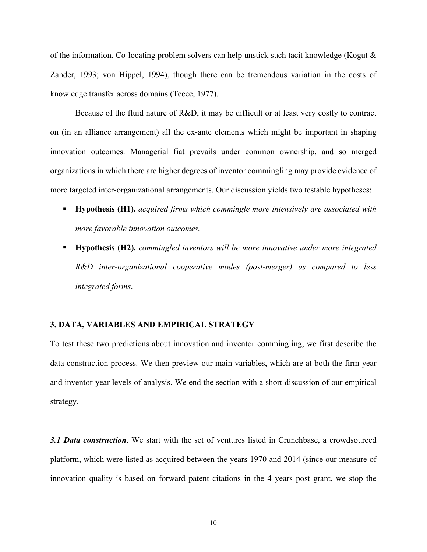of the information. Co-locating problem solvers can help unstick such tacit knowledge (Kogut & Zander, 1993; von Hippel, 1994), though there can be tremendous variation in the costs of knowledge transfer across domains (Teece, 1977).

Because of the fluid nature of R&D, it may be difficult or at least very costly to contract on (in an alliance arrangement) all the ex-ante elements which might be important in shaping innovation outcomes. Managerial fiat prevails under common ownership, and so merged organizations in which there are higher degrees of inventor commingling may provide evidence of more targeted inter-organizational arrangements. Our discussion yields two testable hypotheses:

- § **Hypothesis (H1).** *acquired firms which commingle more intensively are associated with more favorable innovation outcomes.*
- § **Hypothesis (H2).** *commingled inventors will be more innovative under more integrated R&D inter-organizational cooperative modes (post-merger) as compared to less integrated forms*.

## **3. DATA, VARIABLES AND EMPIRICAL STRATEGY**

To test these two predictions about innovation and inventor commingling, we first describe the data construction process. We then preview our main variables, which are at both the firm-year and inventor-year levels of analysis. We end the section with a short discussion of our empirical strategy.

*3.1 Data construction*. We start with the set of ventures listed in Crunchbase, a crowdsourced platform, which were listed as acquired between the years 1970 and 2014 (since our measure of innovation quality is based on forward patent citations in the 4 years post grant, we stop the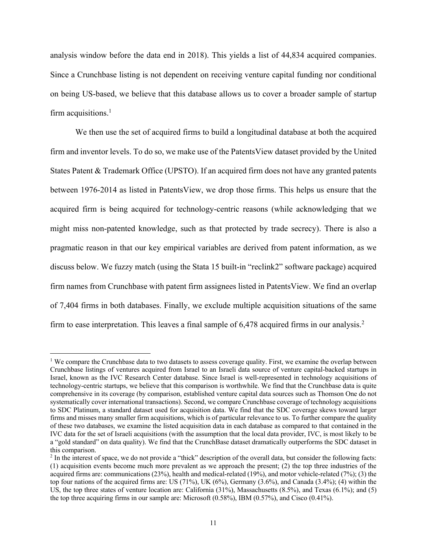analysis window before the data end in 2018). This yields a list of 44,834 acquired companies. Since a Crunchbase listing is not dependent on receiving venture capital funding nor conditional on being US-based, we believe that this database allows us to cover a broader sample of startup firm acquisitions. $<sup>1</sup>$ </sup>

We then use the set of acquired firms to build a longitudinal database at both the acquired firm and inventor levels. To do so, we make use of the PatentsView dataset provided by the United States Patent & Trademark Office (UPSTO). If an acquired firm does not have any granted patents between 1976-2014 as listed in PatentsView, we drop those firms. This helps us ensure that the acquired firm is being acquired for technology-centric reasons (while acknowledging that we might miss non-patented knowledge, such as that protected by trade secrecy). There is also a pragmatic reason in that our key empirical variables are derived from patent information, as we discuss below. We fuzzy match (using the Stata 15 built-in "reclink2" software package) acquired firm names from Crunchbase with patent firm assignees listed in PatentsView. We find an overlap of 7,404 firms in both databases. Finally, we exclude multiple acquisition situations of the same firm to ease interpretation. This leaves a final sample of 6,478 acquired firms in our analysis.<sup>2</sup>

<sup>&</sup>lt;sup>1</sup> We compare the Crunchbase data to two datasets to assess coverage quality. First, we examine the overlap between Crunchbase listings of ventures acquired from Israel to an Israeli data source of venture capital-backed startups in Israel, known as the IVC Research Center database. Since Israel is well-represented in technology acquisitions of technology-centric startups, we believe that this comparison is worthwhile. We find that the Crunchbase data is quite comprehensive in its coverage (by comparison, established venture capital data sources such as Thomson One do not systematically cover international transactions). Second, we compare Crunchbase coverage of technology acquisitions to SDC Platinum, a standard dataset used for acquisition data. We find that the SDC coverage skews toward larger firms and misses many smaller firm acquisitions, which is of particular relevance to us. To further compare the quality of these two databases, we examine the listed acquisition data in each database as compared to that contained in the IVC data for the set of Israeli acquisitions (with the assumption that the local data provider, IVC, is most likely to be a "gold standard" on data quality). We find that the CrunchBase dataset dramatically outperforms the SDC dataset in this comparison.

<sup>&</sup>lt;sup>2</sup> In the interest of space, we do not provide a "thick" description of the overall data, but consider the following facts: (1) acquisition events become much more prevalent as we approach the present; (2) the top three industries of the acquired firms are: communications (23%), health and medical-related (19%), and motor vehicle-related (7%); (3) the top four nations of the acquired firms are: US (71%), UK (6%), Germany (3.6%), and Canada (3.4%); (4) within the US, the top three states of venture location are: California (31%), Massachusetts (8.5%), and Texas (6.1%); and (5) the top three acquiring firms in our sample are: Microsoft (0.58%), IBM (0.57%), and Cisco (0.41%).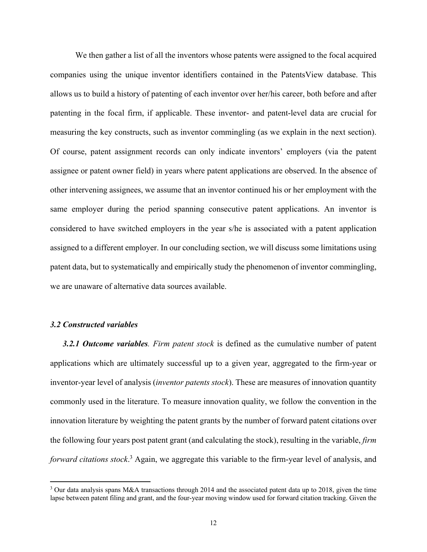We then gather a list of all the inventors whose patents were assigned to the focal acquired companies using the unique inventor identifiers contained in the PatentsView database. This allows us to build a history of patenting of each inventor over her/his career, both before and after patenting in the focal firm, if applicable. These inventor- and patent-level data are crucial for measuring the key constructs, such as inventor commingling (as we explain in the next section). Of course, patent assignment records can only indicate inventors' employers (via the patent assignee or patent owner field) in years where patent applications are observed. In the absence of other intervening assignees, we assume that an inventor continued his or her employment with the same employer during the period spanning consecutive patent applications. An inventor is considered to have switched employers in the year s/he is associated with a patent application assigned to a different employer. In our concluding section, we will discuss some limitations using patent data, but to systematically and empirically study the phenomenon of inventor commingling, we are unaware of alternative data sources available.

#### *3.2 Constructed variables*

*3.2.1 Outcome variables. Firm patent stock* is defined as the cumulative number of patent applications which are ultimately successful up to a given year, aggregated to the firm-year or inventor-year level of analysis (*inventor patents stock*). These are measures of innovation quantity commonly used in the literature. To measure innovation quality, we follow the convention in the innovation literature by weighting the patent grants by the number of forward patent citations over the following four years post patent grant (and calculating the stock), resulting in the variable, *firm forward citations stock*. <sup>3</sup> Again, we aggregate this variable to the firm-year level of analysis, and

<sup>&</sup>lt;sup>3</sup> Our data analysis spans M&A transactions through 2014 and the associated patent data up to 2018, given the time lapse between patent filing and grant, and the four-year moving window used for forward citation tracking. Given the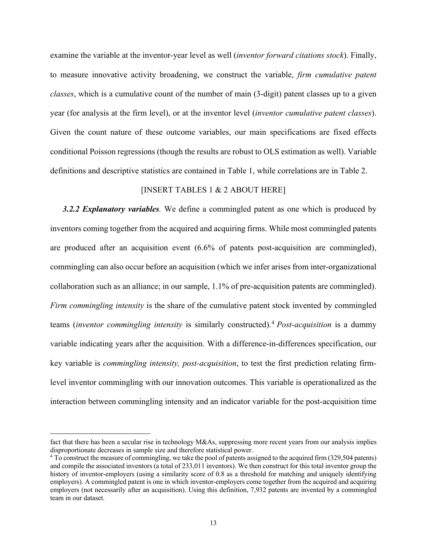examine the variable at the inventor-year level as well (*inventor forward citations stock*). Finally, to measure innovative activity broadening, we construct the variable, *firm cumulative patent classes*, which is a cumulative count of the number of main (3-digit) patent classes up to a given year (for analysis at the firm level), or at the inventor level (*inventor cumulative patent classes*). Given the count nature of these outcome variables, our main specifications are fixed effects conditional Poisson regressions (though the results are robust to OLS estimation as well). Variable definitions and descriptive statistics are contained in Table 1, while correlations are in Table 2.

### [INSERT TABLES 1 & 2 ABOUT HERE]

*3.2.2 Explanatory variables.* We define a commingled patent as one which is produced by inventors coming together from the acquired and acquiring firms. While most commingled patents are produced after an acquisition event (6.6% of patents post-acquisition are commingled), commingling can also occur before an acquisition (which we infer arises from inter-organizational collaboration such as an alliance; in our sample, 1.1% of pre-acquisition patents are commingled). *Firm commingling intensity* is the share of the cumulative patent stock invented by commingled teams (*inventor commingling intensity* is similarly constructed). <sup>4</sup> *Post-acquisition* is a dummy variable indicating years after the acquisition. With a difference-in-differences specification, our key variable is *commingling intensity, post-acquisition*, to test the first prediction relating firmlevel inventor commingling with our innovation outcomes. This variable is operationalized as the interaction between commingling intensity and an indicator variable for the post-acquisition time

fact that there has been a secular rise in technology M&As, suppressing more recent years from our analysis implies disproportionate decreases in sample size and therefore statistical power.

<sup>&</sup>lt;sup>4</sup> To construct the measure of commingling, we take the pool of patents assigned to the acquired firm (329,504 patents) and compile the associated inventors (a total of 233,011 inventors). We then construct for this total inventor group the history of inventor-employers (using a similarity score of 0.8 as a threshold for matching and uniquely identifying employers). A commingled patent is one in which inventor-employers come together from the acquired and acquiring employers (not necessarily after an acquisition). Using this definition, 7,932 patents are invented by a commingled team in our dataset.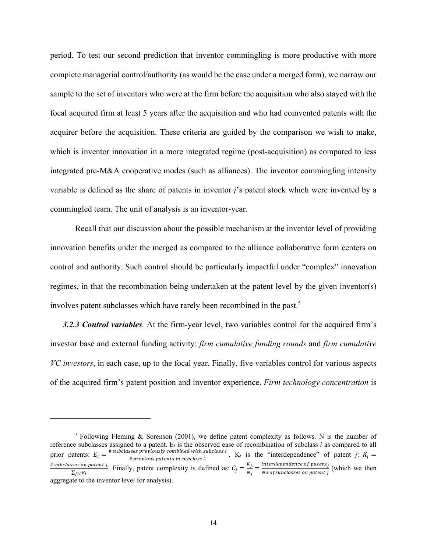period. To test our second prediction that inventor commingling is more productive with more complete managerial control/authority (as would be the case under a merged form), we narrow our sample to the set of inventors who were at the firm before the acquisition who also stayed with the focal acquired firm at least 5 years after the acquisition and who had coinvented patents with the acquirer before the acquisition. These criteria are guided by the comparison we wish to make, which is inventor innovation in a more integrated regime (post-acquisition) as compared to less integrated pre-M&A cooperative modes (such as alliances). The inventor commingling intensity variable is defined as the share of patents in inventor *j*'s patent stock which were invented by a commingled team. The unit of analysis is an inventor-year.

Recall that our discussion about the possible mechanism at the inventor level of providing innovation benefits under the merged as compared to the alliance collaborative form centers on control and authority. Such control should be particularly impactful under "complex" innovation regimes, in that the recombination being undertaken at the patent level by the given inventor(s) involves patent subclasses which have rarely been recombined in the past.<sup>5</sup>

*3.2.3 Control variables.* At the firm-year level, two variables control for the acquired firm's investor base and external funding activity: *firm cumulative funding rounds* and *firm cumulative VC investors*, in each case, up to the focal year. Finally, five variables control for various aspects of the acquired firm's patent position and inventor experience. *Firm technology concentration* is

<sup>5</sup> Following Fleming & Sorenson (2001), we define patent complexity as follows. N is the number of reference subclasses assigned to a patent. E*<sup>i</sup>* is the observed ease of recombination of subclass *i* as compared to all prior patents:  $E_i = \frac{4 \text{ subclasses previously combined with subclass } i}{4 \text{ previous patients in subclass } i}$ .  $K_j$  is the "interdependence" of patent *j*:  $K_j =$ # subclasses on patent j ses on patent *j*. Finally, patent complexity is defined as:  $C_j = \frac{K_j}{N_j} = \frac{\text{interdependence of patent}_j}{\text{NoOf subclasses on patent}_j}$  (which we then aggregate to the inventor level for analysis).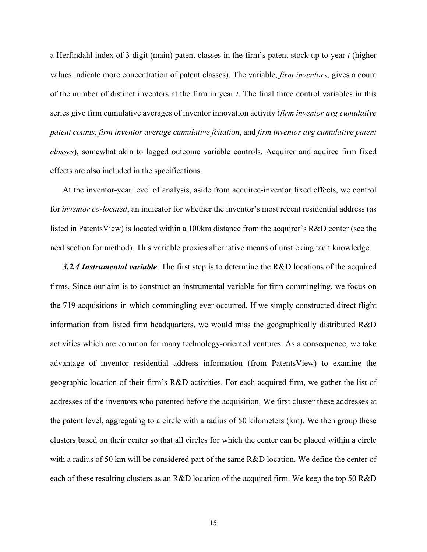a Herfindahl index of 3-digit (main) patent classes in the firm's patent stock up to year *t* (higher values indicate more concentration of patent classes). The variable, *firm inventors*, gives a count of the number of distinct inventors at the firm in year *t*. The final three control variables in this series give firm cumulative averages of inventor innovation activity (*firm inventor avg cumulative patent counts*, *firm inventor average cumulative fcitation*, and *firm inventor avg cumulative patent classes*), somewhat akin to lagged outcome variable controls. Acquirer and aquiree firm fixed effects are also included in the specifications.

At the inventor-year level of analysis, aside from acquiree-inventor fixed effects, we control for *inventor co-located*, an indicator for whether the inventor's most recent residential address (as listed in PatentsView) is located within a 100km distance from the acquirer's R&D center (see the next section for method). This variable proxies alternative means of unsticking tacit knowledge.

*3.2.4 Instrumental variable*. The first step is to determine the R&D locations of the acquired firms. Since our aim is to construct an instrumental variable for firm commingling, we focus on the 719 acquisitions in which commingling ever occurred. If we simply constructed direct flight information from listed firm headquarters, we would miss the geographically distributed R&D activities which are common for many technology-oriented ventures. As a consequence, we take advantage of inventor residential address information (from PatentsView) to examine the geographic location of their firm's R&D activities. For each acquired firm, we gather the list of addresses of the inventors who patented before the acquisition. We first cluster these addresses at the patent level, aggregating to a circle with a radius of 50 kilometers (km). We then group these clusters based on their center so that all circles for which the center can be placed within a circle with a radius of 50 km will be considered part of the same R&D location. We define the center of each of these resulting clusters as an R&D location of the acquired firm. We keep the top 50 R&D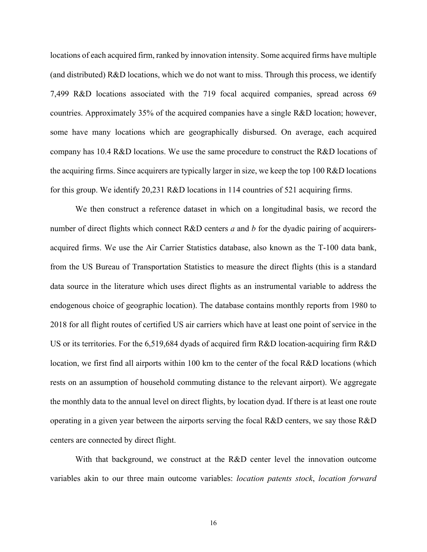locations of each acquired firm, ranked by innovation intensity. Some acquired firms have multiple (and distributed) R&D locations, which we do not want to miss. Through this process, we identify 7,499 R&D locations associated with the 719 focal acquired companies, spread across 69 countries. Approximately 35% of the acquired companies have a single R&D location; however, some have many locations which are geographically disbursed. On average, each acquired company has 10.4 R&D locations. We use the same procedure to construct the R&D locations of the acquiring firms. Since acquirers are typically larger in size, we keep the top 100 R&D locations for this group. We identify 20,231 R&D locations in 114 countries of 521 acquiring firms.

We then construct a reference dataset in which on a longitudinal basis, we record the number of direct flights which connect R&D centers *a* and *b* for the dyadic pairing of acquirersacquired firms. We use the Air Carrier Statistics database, also known as the T-100 data bank, from the US Bureau of Transportation Statistics to measure the direct flights (this is a standard data source in the literature which uses direct flights as an instrumental variable to address the endogenous choice of geographic location). The database contains monthly reports from 1980 to 2018 for all flight routes of certified US air carriers which have at least one point of service in the US or its territories. For the 6,519,684 dyads of acquired firm R&D location-acquiring firm R&D location, we first find all airports within 100 km to the center of the focal R&D locations (which rests on an assumption of household commuting distance to the relevant airport). We aggregate the monthly data to the annual level on direct flights, by location dyad. If there is at least one route operating in a given year between the airports serving the focal R&D centers, we say those R&D centers are connected by direct flight.

With that background, we construct at the R&D center level the innovation outcome variables akin to our three main outcome variables: *location patents stock*, *location forward*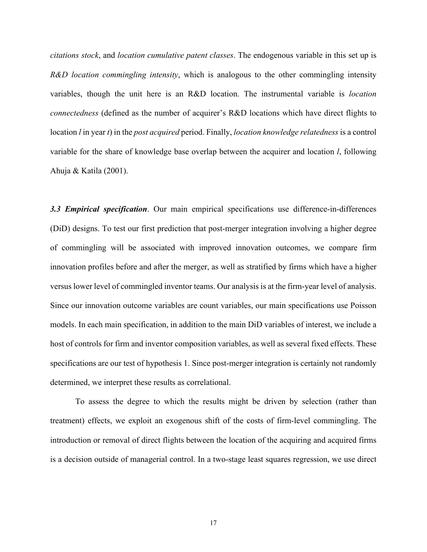*citations stock*, and *location cumulative patent classes*. The endogenous variable in this set up is *R&D location commingling intensity*, which is analogous to the other commingling intensity variables, though the unit here is an R&D location. The instrumental variable is *location connectedness* (defined as the number of acquirer's R&D locations which have direct flights to location *l* in year *t*) in the *post acquired* period. Finally, *location knowledge relatedness* is a control variable for the share of knowledge base overlap between the acquirer and location *l*, following Ahuja & Katila (2001).

*3.3 Empirical specification*. Our main empirical specifications use difference-in-differences (DiD) designs. To test our first prediction that post-merger integration involving a higher degree of commingling will be associated with improved innovation outcomes, we compare firm innovation profiles before and after the merger, as well as stratified by firms which have a higher versus lower level of commingled inventor teams. Our analysis is at the firm-year level of analysis. Since our innovation outcome variables are count variables, our main specifications use Poisson models. In each main specification, in addition to the main DiD variables of interest, we include a host of controls for firm and inventor composition variables, as well as several fixed effects. These specifications are our test of hypothesis 1. Since post-merger integration is certainly not randomly determined, we interpret these results as correlational.

To assess the degree to which the results might be driven by selection (rather than treatment) effects, we exploit an exogenous shift of the costs of firm-level commingling. The introduction or removal of direct flights between the location of the acquiring and acquired firms is a decision outside of managerial control. In a two-stage least squares regression, we use direct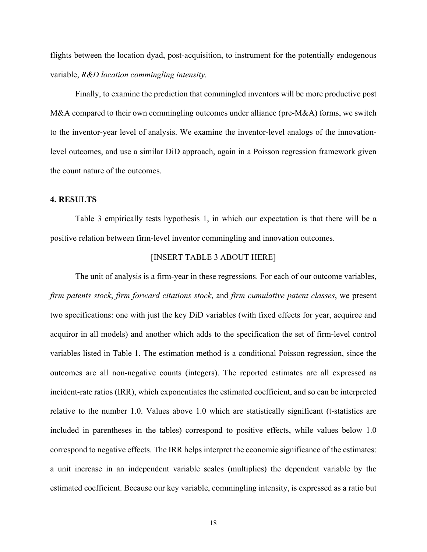flights between the location dyad, post-acquisition, to instrument for the potentially endogenous variable, *R&D location commingling intensity*.

Finally, to examine the prediction that commingled inventors will be more productive post M&A compared to their own commingling outcomes under alliance (pre-M&A) forms, we switch to the inventor-year level of analysis. We examine the inventor-level analogs of the innovationlevel outcomes, and use a similar DiD approach, again in a Poisson regression framework given the count nature of the outcomes.

# **4. RESULTS**

Table 3 empirically tests hypothesis 1, in which our expectation is that there will be a positive relation between firm-level inventor commingling and innovation outcomes.

## [INSERT TABLE 3 ABOUT HERE]

The unit of analysis is a firm-year in these regressions. For each of our outcome variables, *firm patents stock*, *firm forward citations stock*, and *firm cumulative patent classes*, we present two specifications: one with just the key DiD variables (with fixed effects for year, acquiree and acquiror in all models) and another which adds to the specification the set of firm-level control variables listed in Table 1. The estimation method is a conditional Poisson regression, since the outcomes are all non-negative counts (integers). The reported estimates are all expressed as incident-rate ratios (IRR), which exponentiates the estimated coefficient, and so can be interpreted relative to the number 1.0. Values above 1.0 which are statistically significant (t-statistics are included in parentheses in the tables) correspond to positive effects, while values below 1.0 correspond to negative effects. The IRR helps interpret the economic significance of the estimates: a unit increase in an independent variable scales (multiplies) the dependent variable by the estimated coefficient. Because our key variable, commingling intensity, is expressed as a ratio but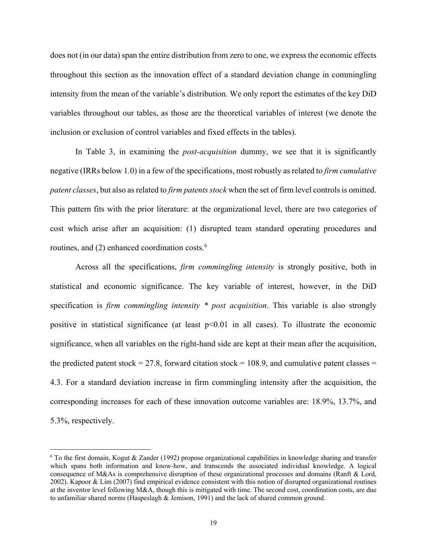does not (in our data) span the entire distribution from zero to one, we express the economic effects throughout this section as the innovation effect of a standard deviation change in commingling intensity from the mean of the variable's distribution. We only report the estimates of the key DiD variables throughout our tables, as those are the theoretical variables of interest (we denote the inclusion or exclusion of control variables and fixed effects in the tables).

In Table 3, in examining the *post-acquisition* dummy, we see that it is significantly negative (IRRs below 1.0) in a few of the specifications, most robustly as related to *firm cumulative patent classes*, but also as related to *firm patents stock* when the set of firm level controls is omitted. This pattern fits with the prior literature: at the organizational level, there are two categories of cost which arise after an acquisition: (1) disrupted team standard operating procedures and routines, and  $(2)$  enhanced coordination costs.<sup>6</sup>

Across all the specifications, *firm commingling intensity* is strongly positive, both in statistical and economic significance. The key variable of interest, however, in the DiD specification is *firm commingling intensity \* post acquisition*. This variable is also strongly positive in statistical significance (at least  $p<0.01$  in all cases). To illustrate the economic significance, when all variables on the right-hand side are kept at their mean after the acquisition, the predicted patent stock = 27.8, forward citation stock = 108.9, and cumulative patent classes = 4.3. For a standard deviation increase in firm commingling intensity after the acquisition, the corresponding increases for each of these innovation outcome variables are: 18.9%, 13.7%, and 5.3%, respectively.

 $6$  To the first domain, Kogut & Zander (1992) propose organizational capabilities in knowledge sharing and transfer which spans both information and know-how, and transcends the associated individual knowledge. A logical consequence of M&As is comprehensive disruption of these organizational processes and domains (Ranft & Lord, 2002). Kapoor & Lim (2007) find empirical evidence consistent with this notion of disrupted organizational routines at the inventor level following M&A, though this is mitigated with time. The second cost, coordination costs, are due to unfamiliar shared norms (Haspeslagh & Jemison, 1991) and the lack of shared common ground.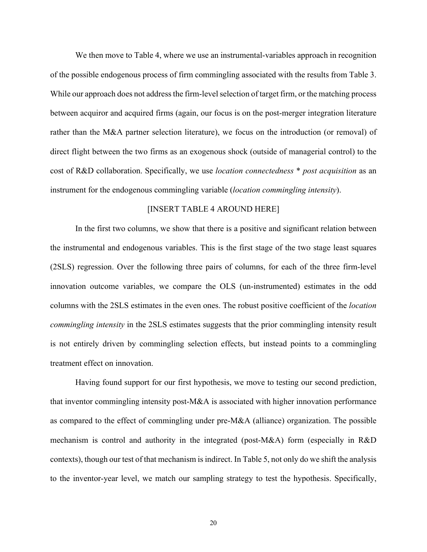We then move to Table 4, where we use an instrumental-variables approach in recognition of the possible endogenous process of firm commingling associated with the results from Table 3. While our approach does not address the firm-level selection of target firm, or the matching process between acquiror and acquired firms (again, our focus is on the post-merger integration literature rather than the M&A partner selection literature), we focus on the introduction (or removal) of direct flight between the two firms as an exogenous shock (outside of managerial control) to the cost of R&D collaboration. Specifically, we use *location connectedness* \* *post acquisition* as an instrument for the endogenous commingling variable (*location commingling intensity*).

## [INSERT TABLE 4 AROUND HERE]

In the first two columns, we show that there is a positive and significant relation between the instrumental and endogenous variables. This is the first stage of the two stage least squares (2SLS) regression. Over the following three pairs of columns, for each of the three firm-level innovation outcome variables, we compare the OLS (un-instrumented) estimates in the odd columns with the 2SLS estimates in the even ones. The robust positive coefficient of the *location commingling intensity* in the 2SLS estimates suggests that the prior commingling intensity result is not entirely driven by commingling selection effects, but instead points to a commingling treatment effect on innovation.

Having found support for our first hypothesis, we move to testing our second prediction, that inventor commingling intensity post-M&A is associated with higher innovation performance as compared to the effect of commingling under pre-M&A (alliance) organization. The possible mechanism is control and authority in the integrated (post-M&A) form (especially in R&D contexts), though our test of that mechanism is indirect. In Table 5, not only do we shift the analysis to the inventor-year level, we match our sampling strategy to test the hypothesis. Specifically,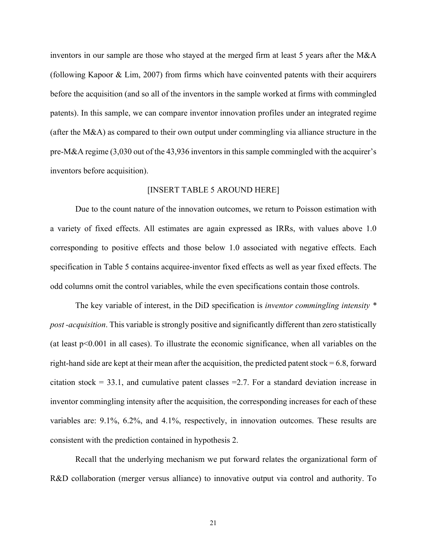inventors in our sample are those who stayed at the merged firm at least 5 years after the M&A (following Kapoor & Lim, 2007) from firms which have coinvented patents with their acquirers before the acquisition (and so all of the inventors in the sample worked at firms with commingled patents). In this sample, we can compare inventor innovation profiles under an integrated regime (after the M&A) as compared to their own output under commingling via alliance structure in the pre-M&A regime (3,030 out of the 43,936 inventors in this sample commingled with the acquirer's inventors before acquisition).

### [INSERT TABLE 5 AROUND HERE]

Due to the count nature of the innovation outcomes, we return to Poisson estimation with a variety of fixed effects. All estimates are again expressed as IRRs, with values above 1.0 corresponding to positive effects and those below 1.0 associated with negative effects. Each specification in Table 5 contains acquiree-inventor fixed effects as well as year fixed effects. The odd columns omit the control variables, while the even specifications contain those controls.

The key variable of interest, in the DiD specification is *inventor commingling intensity \* post -acquisition*. This variable is strongly positive and significantly different than zero statistically (at least  $p<0.001$  in all cases). To illustrate the economic significance, when all variables on the right-hand side are kept at their mean after the acquisition, the predicted patent stock =  $6.8$ , forward citation stock = 33.1, and cumulative patent classes = 2.7. For a standard deviation increase in inventor commingling intensity after the acquisition, the corresponding increases for each of these variables are: 9.1%, 6.2%, and 4.1%, respectively, in innovation outcomes. These results are consistent with the prediction contained in hypothesis 2.

Recall that the underlying mechanism we put forward relates the organizational form of R&D collaboration (merger versus alliance) to innovative output via control and authority. To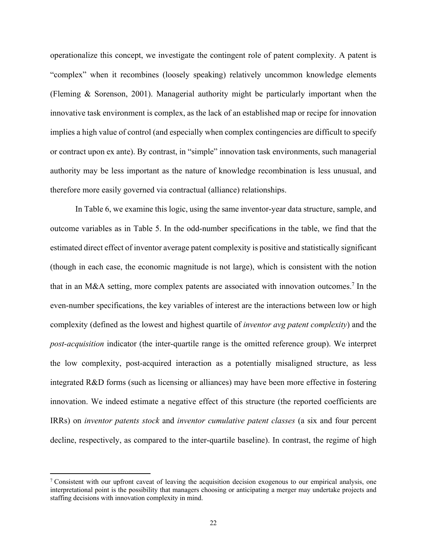operationalize this concept, we investigate the contingent role of patent complexity. A patent is "complex" when it recombines (loosely speaking) relatively uncommon knowledge elements (Fleming & Sorenson, 2001). Managerial authority might be particularly important when the innovative task environment is complex, as the lack of an established map or recipe for innovation implies a high value of control (and especially when complex contingencies are difficult to specify or contract upon ex ante). By contrast, in "simple" innovation task environments, such managerial authority may be less important as the nature of knowledge recombination is less unusual, and therefore more easily governed via contractual (alliance) relationships.

In Table 6, we examine this logic, using the same inventor-year data structure, sample, and outcome variables as in Table 5. In the odd-number specifications in the table, we find that the estimated direct effect of inventor average patent complexity is positive and statistically significant (though in each case, the economic magnitude is not large), which is consistent with the notion that in an M&A setting, more complex patents are associated with innovation outcomes.<sup>7</sup> In the even-number specifications, the key variables of interest are the interactions between low or high complexity (defined as the lowest and highest quartile of *inventor avg patent complexity*) and the *post-acquisition* indicator (the inter-quartile range is the omitted reference group). We interpret the low complexity, post-acquired interaction as a potentially misaligned structure, as less integrated R&D forms (such as licensing or alliances) may have been more effective in fostering innovation. We indeed estimate a negative effect of this structure (the reported coefficients are IRRs) on *inventor patents stock* and *inventor cumulative patent classes* (a six and four percent decline, respectively, as compared to the inter-quartile baseline). In contrast, the regime of high

<sup>&</sup>lt;sup>7</sup> Consistent with our upfront caveat of leaving the acquisition decision exogenous to our empirical analysis, one interpretational point is the possibility that managers choosing or anticipating a merger may undertake projects and staffing decisions with innovation complexity in mind.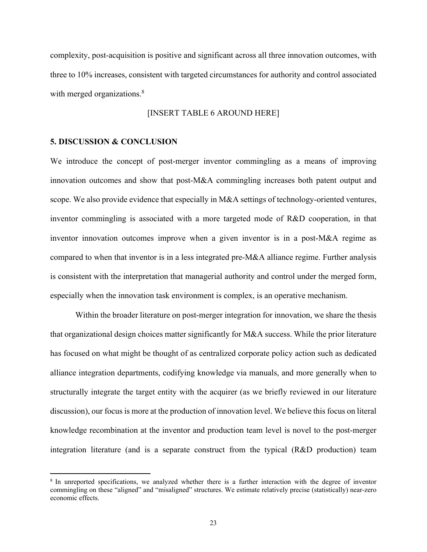complexity, post-acquisition is positive and significant across all three innovation outcomes, with three to 10% increases, consistent with targeted circumstances for authority and control associated with merged organizations.<sup>8</sup>

## [INSERT TABLE 6 AROUND HERE]

#### **5. DISCUSSION & CONCLUSION**

We introduce the concept of post-merger inventor commingling as a means of improving innovation outcomes and show that post-M&A commingling increases both patent output and scope. We also provide evidence that especially in M&A settings of technology-oriented ventures, inventor commingling is associated with a more targeted mode of R&D cooperation, in that inventor innovation outcomes improve when a given inventor is in a post-M&A regime as compared to when that inventor is in a less integrated pre-M&A alliance regime. Further analysis is consistent with the interpretation that managerial authority and control under the merged form, especially when the innovation task environment is complex, is an operative mechanism.

Within the broader literature on post-merger integration for innovation, we share the thesis that organizational design choices matter significantly for M&A success. While the prior literature has focused on what might be thought of as centralized corporate policy action such as dedicated alliance integration departments, codifying knowledge via manuals, and more generally when to structurally integrate the target entity with the acquirer (as we briefly reviewed in our literature discussion), our focus is more at the production of innovation level. We believe this focus on literal knowledge recombination at the inventor and production team level is novel to the post-merger integration literature (and is a separate construct from the typical (R&D production) team

<sup>8</sup> In unreported specifications, we analyzed whether there is a further interaction with the degree of inventor commingling on these "aligned" and "misaligned" structures. We estimate relatively precise (statistically) near-zero economic effects.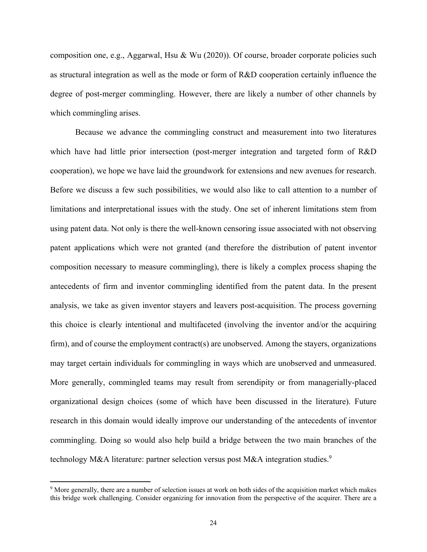composition one, e.g., Aggarwal, Hsu & Wu (2020)). Of course, broader corporate policies such as structural integration as well as the mode or form of R&D cooperation certainly influence the degree of post-merger commingling. However, there are likely a number of other channels by which commingling arises.

Because we advance the commingling construct and measurement into two literatures which have had little prior intersection (post-merger integration and targeted form of R&D cooperation), we hope we have laid the groundwork for extensions and new avenues for research. Before we discuss a few such possibilities, we would also like to call attention to a number of limitations and interpretational issues with the study. One set of inherent limitations stem from using patent data. Not only is there the well-known censoring issue associated with not observing patent applications which were not granted (and therefore the distribution of patent inventor composition necessary to measure commingling), there is likely a complex process shaping the antecedents of firm and inventor commingling identified from the patent data. In the present analysis, we take as given inventor stayers and leavers post-acquisition. The process governing this choice is clearly intentional and multifaceted (involving the inventor and/or the acquiring firm), and of course the employment contract(s) are unobserved. Among the stayers, organizations may target certain individuals for commingling in ways which are unobserved and unmeasured. More generally, commingled teams may result from serendipity or from managerially-placed organizational design choices (some of which have been discussed in the literature). Future research in this domain would ideally improve our understanding of the antecedents of inventor commingling. Doing so would also help build a bridge between the two main branches of the technology M&A literature: partner selection versus post M&A integration studies.<sup>9</sup>

<sup>&</sup>lt;sup>9</sup> More generally, there are a number of selection issues at work on both sides of the acquisition market which makes this bridge work challenging. Consider organizing for innovation from the perspective of the acquirer. There are a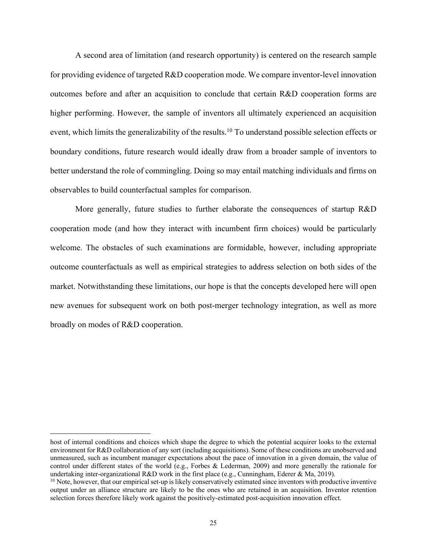A second area of limitation (and research opportunity) is centered on the research sample for providing evidence of targeted R&D cooperation mode. We compare inventor-level innovation outcomes before and after an acquisition to conclude that certain R&D cooperation forms are higher performing. However, the sample of inventors all ultimately experienced an acquisition event, which limits the generalizability of the results.<sup>10</sup> To understand possible selection effects or boundary conditions, future research would ideally draw from a broader sample of inventors to better understand the role of commingling. Doing so may entail matching individuals and firms on observables to build counterfactual samples for comparison.

More generally, future studies to further elaborate the consequences of startup R&D cooperation mode (and how they interact with incumbent firm choices) would be particularly welcome. The obstacles of such examinations are formidable, however, including appropriate outcome counterfactuals as well as empirical strategies to address selection on both sides of the market. Notwithstanding these limitations, our hope is that the concepts developed here will open new avenues for subsequent work on both post-merger technology integration, as well as more broadly on modes of R&D cooperation.

host of internal conditions and choices which shape the degree to which the potential acquirer looks to the external environment for R&D collaboration of any sort (including acquisitions). Some of these conditions are unobserved and unmeasured, such as incumbent manager expectations about the pace of innovation in a given domain, the value of control under different states of the world (e.g., Forbes & Lederman, 2009) and more generally the rationale for undertaking inter-organizational R&D work in the first place (e.g., Cunningham, Ederer & Ma, 2019).<br><sup>10</sup> Note, however, that our empirical set-up is likely conservatively estimated since inventors with productive inventiv

output under an alliance structure are likely to be the ones who are retained in an acquisition. Inventor retention selection forces therefore likely work against the positively-estimated post-acquisition innovation effect.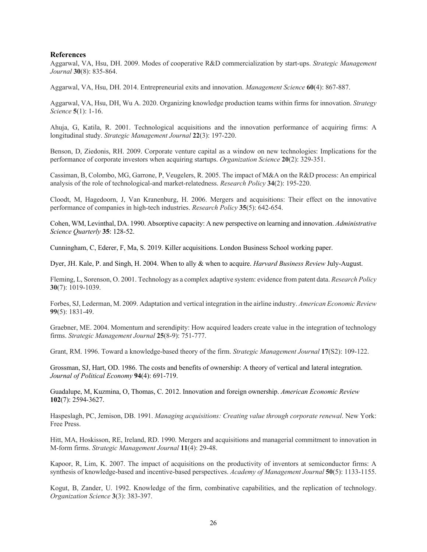#### **References**

Aggarwal, VA, Hsu, DH. 2009. Modes of cooperative R&D commercialization by start-ups. *Strategic Management Journal* **30**(8): 835-864.

Aggarwal, VA, Hsu, DH. 2014. Entrepreneurial exits and innovation. *Management Science* **60**(4): 867-887.

Aggarwal, VA, Hsu, DH, Wu A. 2020. Organizing knowledge production teams within firms for innovation. *Strategy Science* **5**(1): 1-16.

Ahuja, G, Katila, R. 2001. Technological acquisitions and the innovation performance of acquiring firms: A longitudinal study. *Strategic Management Journal* **22**(3): 197-220.

Benson, D, Ziedonis, RH. 2009. Corporate venture capital as a window on new technologies: Implications for the performance of corporate investors when acquiring startups. *Organization Science* **20**(2): 329-351.

Cassiman, B, Colombo, MG, Garrone, P, Veugelers, R. 2005. The impact of M&A on the R&D process: An empirical analysis of the role of technological-and market-relatedness. *Research Policy* **34**(2): 195-220.

Cloodt, M, Hagedoorn, J, Van Kranenburg, H. 2006. Mergers and acquisitions: Their effect on the innovative performance of companies in high-tech industries. *Research Policy* **35**(5): 642-654.

Cohen, WM, Levinthal, DA. 1990. Absorptive capacity: A new perspective on learning and innovation. *Administrative Science Quarterly* **35**: 128-52.

Cunningham, C, Ederer, F, Ma, S. 2019. Killer acquisitions. London Business School working paper.

Dyer, JH. Kale, P. and Singh, H. 2004. When to ally & when to acquire. *Harvard Business Review* July-August.

Fleming, L, Sorenson, O. 2001. Technology as a complex adaptive system: evidence from patent data. *Research Policy* **30**(7): 1019-1039.

Forbes, SJ, Lederman, M. 2009. Adaptation and vertical integration in the airline industry. *American Economic Review* **99**(5): 1831-49.

Graebner, ME. 2004. Momentum and serendipity: How acquired leaders create value in the integration of technology firms. *Strategic Management Journal* **25**(8‐9): 751-777.

Grant, RM. 1996. Toward a knowledge-based theory of the firm. *Strategic Management Journal* **17**(S2): 109-122.

Grossman, SJ, Hart, OD. 1986. The costs and benefits of ownership: A theory of vertical and lateral integration. *Journal of Political Economy* **94**(4): 691-719.

Guadalupe, M, Kuzmina, O, Thomas, C. 2012. Innovation and foreign ownership. *American Economic Review* **102**(7): 2594-3627.

Haspeslagh, PC, Jemison, DB. 1991. *Managing acquisitions: Creating value through corporate renewal*. New York: Free Press.

Hitt, MA, Hoskisson, RE, Ireland, RD. 1990. Mergers and acquisitions and managerial commitment to innovation in M-form firms. *Strategic Management Journal* **11**(4): 29-48.

Kapoor, R, Lim, K. 2007. The impact of acquisitions on the productivity of inventors at semiconductor firms: A synthesis of knowledge-based and incentive-based perspectives. *Academy of Management Journal* **50**(5): 1133-1155.

Kogut, B, Zander, U. 1992. Knowledge of the firm, combinative capabilities, and the replication of technology. *Organization Science* **3**(3): 383-397.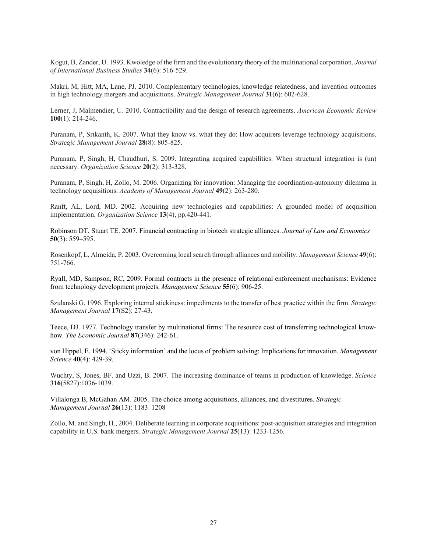Kogut, B, Zander, U. 1993. Kwoledge of the firm and the evolutionary theory of the multinational corporation. *Journal of International Business Studies* **34**(6): 516-529.

Makri, M, Hitt, MA, Lane, PJ. 2010. Complementary technologies, knowledge relatedness, and invention outcomes in high technology mergers and acquisitions. *Strategic Management Journal* **31**(6): 602-628.

Lerner, J, Malmendier, U. 2010. Contractibility and the design of research agreements. *American Economic Review* **100**(1): 214-246.

Puranam, P, Srikanth, K. 2007. What they know vs. what they do: How acquirers leverage technology acquisitions. *Strategic Management Journal* **28**(8): 805-825.

Puranam, P, Singh, H, Chaudhuri, S. 2009. Integrating acquired capabilities: When structural integration is (un) necessary. *Organization Science* **20**(2): 313-328.

Puranam, P, Singh, H, Zollo, M. 2006. Organizing for innovation: Managing the coordination-autonomy dilemma in technology acquisitions. *Academy of Management Journal* **49**(2): 263-280.

Ranft, AL, Lord, MD. 2002. Acquiring new technologies and capabilities: A grounded model of acquisition implementation. *Organization Science* **13**(4), pp.420-441.

Robinson DT, Stuart TE. 2007. Financial contracting in biotech strategic alliances. *Journal of Law and Economics* **50**(3): 559–595.

Rosenkopf, L, Almeida, P. 2003. Overcoming local search through alliances and mobility. *Management Science* **49**(6): 751-766.

Ryall, MD, Sampson, RC, 2009. Formal contracts in the presence of relational enforcement mechanisms: Evidence from technology development projects. *Management Science* **55**(6): 906-25.

Szulanski G. 1996. Exploring internal stickiness: impediments to the transfer of best practice within the firm. *Strategic Management Journal* **17**(S2): 27-43.

Teece, DJ. 1977. Technology transfer by multinational firms: The resource cost of transferring technological knowhow. *The Economic Journal* **87**(346): 242-61.

von Hippel, E. 1994. 'Sticky information' and the locus of problem solving: Implications for innovation. *Management Science* **40**(4): 429-39.

Wuchty, S, Jones, BF. and Uzzi, B. 2007. The increasing dominance of teams in production of knowledge. *Science* **316**(5827):1036-1039.

Villalonga B, McGahan AM. 2005. The choice among acquisitions, alliances, and divestitures. *Strategic Management Journal* **26**(13): 1183–1208

Zollo, M. and Singh, H., 2004. Deliberate learning in corporate acquisitions: post-acquisition strategies and integration capability in U.S. bank mergers. *Strategic Management Journal* **25**(13): 1233-1256.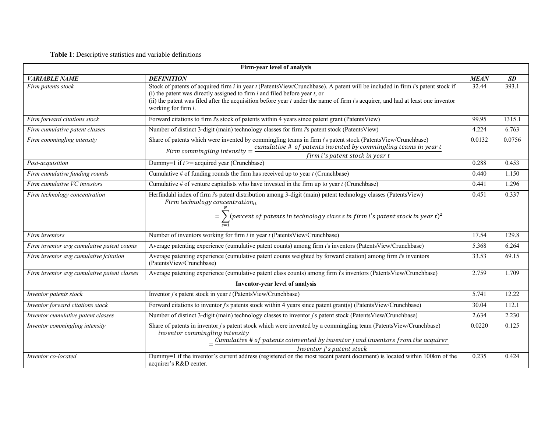# **Table 1**: Descriptive statistics and variable definitions

| Firm-year level of analysis                 |                                                                                                                                                                                                                                                                                                                                                                             |             |           |  |  |  |  |
|---------------------------------------------|-----------------------------------------------------------------------------------------------------------------------------------------------------------------------------------------------------------------------------------------------------------------------------------------------------------------------------------------------------------------------------|-------------|-----------|--|--|--|--|
| <b>VARIABLE NAME</b>                        | <b>DEFINITION</b>                                                                                                                                                                                                                                                                                                                                                           | <b>MEAN</b> | <b>SD</b> |  |  |  |  |
| Firm patents stock                          | Stock of patents of acquired firm i in year t (PatentsView/Crunchbase). A patent will be included in firm i's patent stock if<br>(i) the patent was directly assigned to firm $i$ and filed before year $t$ , or<br>(ii) the patent was filed after the acquisition before year t under the name of firm i's acquirer, and had at least one inventor<br>working for firm i. | 32.44       | 393.1     |  |  |  |  |
| Firm forward citations stock                | Forward citations to firm <i>i</i> 's stock of patents within 4 years since patent grant (PatentsView)                                                                                                                                                                                                                                                                      | 99.95       | 1315.1    |  |  |  |  |
| Firm cumulative patent classes              | Number of distinct 3-digit (main) technology classes for firm <i>i</i> 's patent stock (PatentsView)                                                                                                                                                                                                                                                                        | 4.224       | 6.763     |  |  |  |  |
| Firm commingling intensity                  | Share of patents which were invented by commingling teams in firm i's patent stock (PatentsView/Crunchbase)<br>0.0132<br>Firm commingling intensity = $\frac{cumulative \# of patients invented by comingling teams in year t}{cumulative \# of patients invented by commutingling teams in year t}$<br>firm i's patent stock in year t                                     |             |           |  |  |  |  |
| Post-acquisition                            | Dummy=1 if $t$ >= acquired year (Crunchbase)                                                                                                                                                                                                                                                                                                                                | 0.288       | 0.453     |  |  |  |  |
| Firm cumulative funding rounds              | Cumulative # of funding rounds the firm has received up to year $t$ (Crunchbase)                                                                                                                                                                                                                                                                                            | 0.440       | 1.150     |  |  |  |  |
| Firm cumulative VC investors                | Cumulative # of venture capitalists who have invested in the firm up to year $t$ (Crunchbase)                                                                                                                                                                                                                                                                               | 0.441       | 1.296     |  |  |  |  |
| Firm technology concentration               | Herfindahl index of firm i's patent distribution among 3-digit (main) patent technology classes (PatentsView)<br>Firm technology concentration $_{it}$<br>= $\sum$ (percent of patents in technology class s in firm i's patent stock in year t) <sup>2</sup>                                                                                                               | 0.451       | 0.337     |  |  |  |  |
| Firm inventors                              | Number of inventors working for firm $i$ in year $t$ (PatentsView/Crunchbase)                                                                                                                                                                                                                                                                                               | 17.54       | 129.8     |  |  |  |  |
| Firm inventor avg cumulative patent counts  | Average patenting experience (cumulative patent counts) among firm <i>i</i> 's inventors (PatentsView/Crunchbase)                                                                                                                                                                                                                                                           | 5.368       | 6.264     |  |  |  |  |
| Firm inventor avg cumulative fcitation      | Average patenting experience (cumulative patent counts weighted by forward citation) among firm i's inventors<br>(PatentsView/Crunchbase)                                                                                                                                                                                                                                   | 33.53       | 69.15     |  |  |  |  |
| Firm inventor avg cumulative patent classes | Average patenting experience (cumulative patent class counts) among firm i's inventors (PatentsView/Crunchbase)                                                                                                                                                                                                                                                             | 2.759       | 1.709     |  |  |  |  |
|                                             | <b>Inventor-year level of analysis</b>                                                                                                                                                                                                                                                                                                                                      |             |           |  |  |  |  |
| Inventor patents stock                      | Inventor j's patent stock in year t (PatentsView/Crunchbase)                                                                                                                                                                                                                                                                                                                | 5.741       | 12.22     |  |  |  |  |
| Inventor forward citations stock            | Forward citations to inventor j's patents stock within 4 years since patent grant(s) (PatentsView/Crunchbase)                                                                                                                                                                                                                                                               | 30.04       | 112.1     |  |  |  |  |
| Inventor cumulative patent classes          | Number of distinct 3-digit (main) technology classes to inventor j's patent stock (PatentsView/Crunchbase)                                                                                                                                                                                                                                                                  | 2.634       | 2.230     |  |  |  |  |
| Inventor commingling intensity              | Share of patents in inventor j's patent stock which were invented by a commingling team (PatentsView/Crunchbase)<br>inventor commingling intensity<br>$=\frac{Cumulative\# of\ patients\ coinvented\ by\ inventor\ j\ and\ inventors\ from\ the\ acquire\ r}$<br>Inventor j's patent stock                                                                                  | 0.0220      | 0.125     |  |  |  |  |
| Inventor co-located                         | Dummy=1 if the inventor's current address (registered on the most recent patent document) is located within 100km of the<br>acquirer's R&D center.                                                                                                                                                                                                                          | 0.235       | 0.424     |  |  |  |  |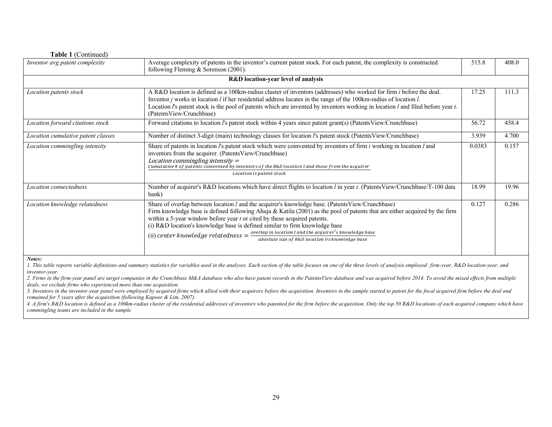| <b>Table 1</b> (Continued)         |                                                                                                                                                                                                                                                                                                                                                                                                                                                                                                                                                                                     |        |       |
|------------------------------------|-------------------------------------------------------------------------------------------------------------------------------------------------------------------------------------------------------------------------------------------------------------------------------------------------------------------------------------------------------------------------------------------------------------------------------------------------------------------------------------------------------------------------------------------------------------------------------------|--------|-------|
| Inventor avg patent complexity     | Average complexity of patents in the inventor's current patent stock. For each patent, the complexity is constructed<br>following Fleming & Sorenson $(2001)$ .                                                                                                                                                                                                                                                                                                                                                                                                                     | 515.8  | 408.0 |
|                                    | <b>R&amp;D</b> location-year level of analysis                                                                                                                                                                                                                                                                                                                                                                                                                                                                                                                                      |        |       |
| Location patents stock             | A R&D location is defined as a 100km-radius cluster of inventors (addresses) who worked for firm <i>i</i> before the deal.<br>Inventor <i>j</i> works in location <i>l</i> if her residential address locates in the range of the 100km-radius of location <i>l</i> .<br>Location $l$ 's patent stock is the pool of patents which are invented by inventors working in location $l$ and filed before year $t$ .<br>(PatentsView/Crunchbase)                                                                                                                                        | 17.25  | 111.3 |
| Location forward citations stock   | Forward citations to location l's patent stock within 4 years since patent grant(s) (PatentsView/Crunchbase)                                                                                                                                                                                                                                                                                                                                                                                                                                                                        | 56.72  | 458.4 |
| Location cumulative patent classes | Number of distinct 3-digit (main) technology classes for location l's patent stock (Patents View/Crunchbase)                                                                                                                                                                                                                                                                                                                                                                                                                                                                        | 3.939  | 4.700 |
| Location commingling intensity     | Share of patents in location $l$ 's patent stock which were coinvented by inventors of firm $i$ working in location $l$ and<br>inventors from the acquirer. (PatentsView/Crunchbase)<br>Location commingling intensity =<br>Cumulative # of patents coinvented by inventors of the R&D location $l$ and those from the acquirer<br>Location ls patent stock                                                                                                                                                                                                                         | 0.0383 | 0.157 |
| Location connectedness             | Number of acquirer's R&D locations which have direct flights to location l in year t. (PatentsView/Crunchbase/T-100 data<br>bank)                                                                                                                                                                                                                                                                                                                                                                                                                                                   | 18.99  | 19.96 |
| Location knowledge relatedness     | Share of overlap between location l and the acquirer's knowledge base. (PatentsView/Crunchbase)<br>Firm knowledge base is defined following Ahuja & Katila (2001) as the pool of patents that are either acquired by the firm<br>within a 5-year window before year $t$ or cited by these acquired patents.<br>(i) R&D location's knowledge base is defined similar to firm knowledge base<br>(ii) center knowledge relatedness $=$ $\frac{overlap \text{ in location } l \text{ and the acquire } r's \text{ knowledge base}}$<br>absolute size of R&D location lis knowledge base | 0.127  | 0.286 |

### **Table 1** (Continued)

*Notes:* 

1. This table reports variable definitions and summary statistics for variables used in the analyses. Each section of the table focuses on one of the three levels of analysis employed: firm-year, R&D location-year, and *inventor-year.* 

2. Firms in the firm-year panel are target companies in the Crunchbase M&A database who also have patent records in the PatentsView database and was acquired before 2014. To avoid the mixed effects from multiple *deals, we exclude firms who experienced more than one acquisition.* 

3. Inventors in the inventor-year panel were employed by acquired firms which allied with their acquirers before the acquisition. Inventors in the sample started to patent for the focal acquired firm before the deal and *remained for 5 years after the acquisition (following Kapoor & Lim, 2007).*

4. A firm's R&D location is defined as a 100km-radius cluster of the residential addresses of inventors who patented for the firm before the acquisition. Only the top 50 R&D locations of each acquired company which have *commingling teams are included in the sample.*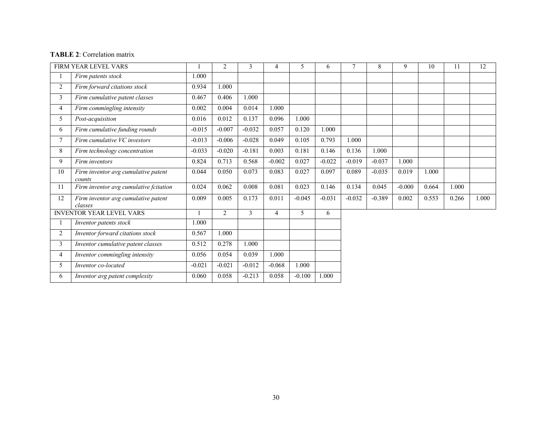# **TABLE 2**: Correlation matrix

|                | FIRM YEAR LEVEL VARS                           |          | 2              | 3        | 4              | 5        | 6        |          | 8        | 9        | 10    | 11    | 12    |
|----------------|------------------------------------------------|----------|----------------|----------|----------------|----------|----------|----------|----------|----------|-------|-------|-------|
|                | Firm patents stock                             | 1.000    |                |          |                |          |          |          |          |          |       |       |       |
| $\overline{2}$ | Firm forward citations stock                   | 0.934    | 1.000          |          |                |          |          |          |          |          |       |       |       |
| $\mathfrak{Z}$ | Firm cumulative patent classes                 | 0.467    | 0.406          | 1.000    |                |          |          |          |          |          |       |       |       |
| $\overline{4}$ | Firm commingling intensity                     | 0.002    | 0.004          | 0.014    | 1.000          |          |          |          |          |          |       |       |       |
| 5              | Post-acquisition                               | 0.016    | 0.012          | 0.137    | 0.096          | 1.000    |          |          |          |          |       |       |       |
| 6              | Firm cumulative funding rounds                 | $-0.015$ | $-0.007$       | $-0.032$ | 0.057          | 0.120    | 1.000    |          |          |          |       |       |       |
| $\tau$         | Firm cumulative VC investors                   | $-0.013$ | $-0.006$       | $-0.028$ | 0.049          | 0.105    | 0.793    | 1.000    |          |          |       |       |       |
| 8              | Firm technology concentration                  | $-0.033$ | $-0.020$       | $-0.181$ | 0.003          | 0.181    | 0.146    | 0.136    | 1.000    |          |       |       |       |
| 9              | Firm inventors                                 | 0.824    | 0.713          | 0.568    | $-0.002$       | 0.027    | $-0.022$ | $-0.019$ | $-0.037$ | 1.000    |       |       |       |
| 10             | Firm inventor avg cumulative patent<br>counts  | 0.044    | 0.050          | 0.073    | 0.083          | 0.027    | 0.097    | 0.089    | $-0.035$ | 0.019    | 1.000 |       |       |
| 11             | Firm inventor avg cumulative fcitation         | 0.024    | 0.062          | 0.008    | 0.081          | 0.023    | 0.146    | 0.134    | 0.045    | $-0.000$ | 0.664 | 1.000 |       |
| 12             | Firm inventor avg cumulative patent<br>classes | 0.009    | 0.005          | 0.173    | 0.011          | $-0.045$ | $-0.031$ | $-0.032$ | $-0.389$ | 0.002    | 0.553 | 0.266 | 1.000 |
|                | <b>INVENTOR YEAR LEVEL VARS</b>                |          | $\overline{2}$ | 3        | $\overline{4}$ | 5        | 6        |          |          |          |       |       |       |
|                | Inventor patents stock                         | 1.000    |                |          |                |          |          |          |          |          |       |       |       |
| $\overline{2}$ | Inventor forward citations stock               | 0.567    | 1.000          |          |                |          |          |          |          |          |       |       |       |
| $\mathfrak{Z}$ | Inventor cumulative patent classes             | 0.512    | 0.278          | 1.000    |                |          |          |          |          |          |       |       |       |
| $\overline{4}$ | Inventor commingling intensity                 | 0.056    | 0.054          | 0.039    | 1.000          |          |          |          |          |          |       |       |       |
| 5              | Inventor co-located                            | $-0.021$ | $-0.021$       | $-0.012$ | $-0.068$       | 1.000    |          |          |          |          |       |       |       |
| 6              | Inventor avg patent complexity                 | 0.060    | 0.058          | $-0.213$ | 0.058          | $-0.100$ | 1.000    |          |          |          |       |       |       |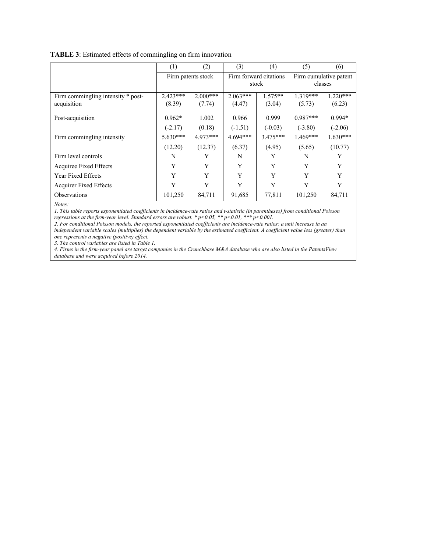|                                                   | (1)                  | (2)                  | (3)                  | (4)                             | (5)                               | (6)                  |  |
|---------------------------------------------------|----------------------|----------------------|----------------------|---------------------------------|-----------------------------------|----------------------|--|
|                                                   | Firm patents stock   |                      |                      | Firm forward citations<br>stock | Firm cumulative patent<br>classes |                      |  |
| Firm commingling intensity * post-<br>acquisition | $2.423***$<br>(8.39) | $2.000***$<br>(7.74) | $2.063***$<br>(4.47) | $1.575**$<br>(3.04)             | $1.319***$<br>(5.73)              | $1.220***$<br>(6.23) |  |
| Post-acquisition                                  | $0.962*$             | 1.002                | 0.966                | 0.999                           | $0.987***$                        | $0.994*$             |  |
|                                                   | $(-2.17)$            | (0.18)               | $(-1.51)$            | $(-0.03)$                       | $(-3.80)$                         | $(-2.06)$            |  |
| Firm commingling intensity                        | $5.630***$           | $4.973***$           | $4.694***$           | $3.475***$                      | $1.469***$                        | $1.630***$           |  |
|                                                   | (12.20)              | (12.37)              | (6.37)               | (4.95)                          | (5.65)                            | (10.77)              |  |
| Firm level controls                               | N                    | Y                    | N                    | Y                               | N                                 | Y                    |  |
| Acquiree Fixed Effects                            | Y                    | Y                    | Y                    | Y                               | Y                                 | Y                    |  |
| Year Fixed Effects                                | Y                    | Y                    | Y                    | Y                               | Y                                 | Y                    |  |
| <b>Acquirer Fixed Effects</b>                     | Y                    | Y                    | Y                    | Y                               | Y                                 | Y                    |  |
| <b>Observations</b>                               | 101,250              | 84,711               | 91,685               | 77,811                          | 101,250                           | 84,711               |  |

#### **TABLE 3**: Estimated effects of commingling on firm innovation

*Notes:*

*1. This table reports exponentiated coefficients in incidence-rate ratios and t-statistic (in parentheses) from conditional Poisson regressions at the firm-year level. Standard errors are robust. \* p<0.05, \*\* p<0.01, \*\*\* p<0.001.*

*2. For conditional Poisson models, the reported exponentiated coefficients are incidence-rate ratios: a unit increase in an independent variable scales (multiplies) the dependent variable by the estimated coefficient. A coefficient value less (greater) than one represents a negative (positive) effect.*

*3. The control variables are listed in Table 1.* 

*4. Firms in the firm-year panel are target companies in the Crunchbase M&A database who are also listed in the PatentsView database and were acquired before 2014.*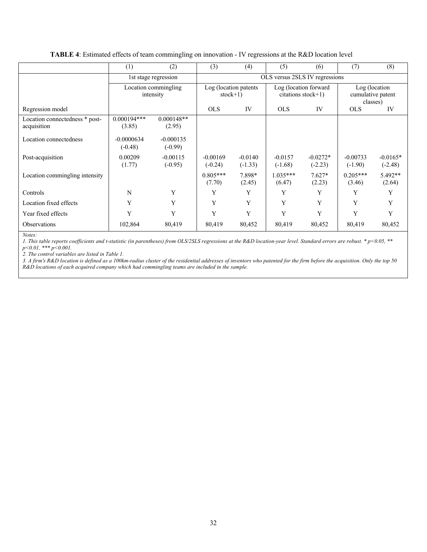#### **TABLE 4**: Estimated effects of team commingling on innovation - IV regressions at the R&D location level

|                                               | (1)                               | (2)                      | (3)                                 | (4)                    | (5)                    | (6)                                         | (7)                                            | (8)                     |  |  |  |
|-----------------------------------------------|-----------------------------------|--------------------------|-------------------------------------|------------------------|------------------------|---------------------------------------------|------------------------------------------------|-------------------------|--|--|--|
|                                               |                                   | 1st stage regression     | OLS versus 2SLS IV regressions      |                        |                        |                                             |                                                |                         |  |  |  |
|                                               | Location commingling<br>intensity |                          | Log (location patents<br>$stock+1)$ |                        |                        | Log (location forward<br>citations stock+1) | Log (location<br>cumulative patent<br>classes) |                         |  |  |  |
| Regression model                              |                                   |                          | <b>OLS</b>                          | IV                     | <b>OLS</b>             | IV                                          | <b>OLS</b>                                     | IV                      |  |  |  |
| Location connectedness * post-<br>acquisition | $0.000194***$<br>(3.85)           | $0.000148**$<br>(2.95)   |                                     |                        |                        |                                             |                                                |                         |  |  |  |
| Location connectedness                        | $-0.0000634$<br>$(-0.48)$         | $-0.000135$<br>$(-0.99)$ |                                     |                        |                        |                                             |                                                |                         |  |  |  |
| Post-acquisition                              | 0.00209<br>(1.77)                 | $-0.00115$<br>$(-0.95)$  | $-0.00169$<br>$(-0.24)$             | $-0.0140$<br>$(-1.33)$ | $-0.0157$<br>$(-1.68)$ | $-0.0272*$<br>$(-2.23)$                     | $-0.00733$<br>$(-1.90)$                        | $-0.0165*$<br>$(-2.48)$ |  |  |  |
| Location commingling intensity                |                                   |                          | $0.805***$<br>(7.70)                | 7.898*<br>(2.45)       | $1.035***$<br>(6.47)   | $7.627*$<br>(2.23)                          | $0.205***$<br>(3.46)                           | $5.492**$<br>(2.64)     |  |  |  |
| Controls                                      | N                                 | Y                        | Y                                   | Y                      | Y                      | Y                                           | Y                                              | Y                       |  |  |  |
| Location fixed effects                        | Y                                 | Y                        | Y                                   | Y                      | Y                      | Y                                           | Y                                              | Y                       |  |  |  |
| Year fixed effects                            | Y                                 | Y                        | Y                                   | Y                      | Y                      | Y                                           | Y                                              | Y                       |  |  |  |
| Observations                                  | 102,864                           | 80,419                   | 80,419                              | 80,452                 | 80,419                 | 80,452                                      | 80,419                                         | 80,452                  |  |  |  |

*Notes:*

*1. This table reports coefficients and t-statistic (in parentheses) from OLS/2SLS regressions at the R&D location-year level. Standard errors are robust. \* p<0.05, \*\* p<0.01, \*\*\* p<0.001.*

*2. The control variables are listed in Table 1.* 

*3. A firm's R&D location is defined as a 100km-radius cluster of the residential addresses of inventors who patented for the firm before the acquisition. Only the top 50 R&D locations of each acquired company which had commingling teams are included in the sample.*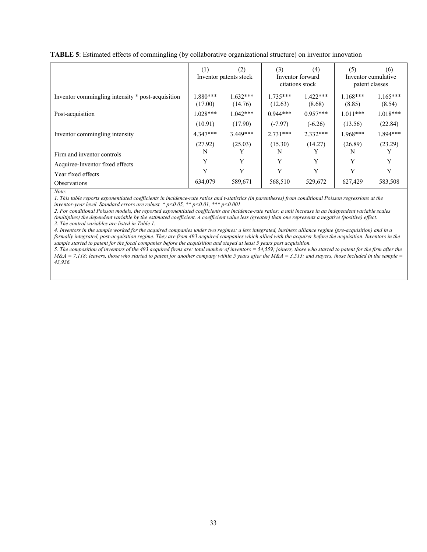|                                                   | (1)                    | (2)        | (3)                                 | (4)        | (5)                                   | (6)          |
|---------------------------------------------------|------------------------|------------|-------------------------------------|------------|---------------------------------------|--------------|
|                                                   | Inventor patents stock |            | Inventor forward<br>citations stock |            | Inventor cumulative<br>patent classes |              |
|                                                   |                        |            |                                     |            |                                       |              |
| Inventor commingling intensity * post-acquisition | $1.880***$             | $1.632***$ | $1.735***$                          | $1.422***$ | $1.168***$                            | $1.165***$   |
|                                                   | (17.00)                | (14.76)    | (12.63)                             | (8.68)     | (8.85)                                | (8.54)       |
| Post-acquisition                                  | $1.028***$             | $1.042***$ | $0.944***$                          | $0.957***$ | $1.011***$                            | $1.018***$   |
|                                                   | (10.91)                | (17.90)    | $(-7.97)$                           | $(-6.26)$  | (13.56)                               | (22.84)      |
| Inventor commingling intensity                    | $4.347***$             | $3.449***$ | $2.731***$                          | $2.332***$ | $1.968***$                            | 1.894***     |
|                                                   | (27.92)                | (25.03)    | (15.30)                             | (14.27)    | (26.89)                               | (23.29)      |
| Firm and inventor controls                        | N                      |            | N                                   |            | N                                     |              |
| Acquiree-Inventor fixed effects                   | Y                      | Y          | Y                                   | Y          | Y                                     | $\mathbf{v}$ |
| Year fixed effects                                | Y                      | Y          | Y                                   | Y          | Y                                     | Y            |
| Observations                                      | 634,079                | 589,671    | 568,510                             | 529,672    | 627,429                               | 583,508      |

**TABLE 5**: Estimated effects of commingling (by collaborative organizational structure) on inventor innovation

*Note:*

*1. This table reports exponentiated coefficients in incidence-rate ratios and t-statistics (in parentheses) from conditional Poisson regressions at the inventor-year level. Standard errors are robust. \* p<0.05, \*\* p<0.01, \*\*\* p<0.001.*

*2. For conditional Poisson models, the reported exponentiated coefficients are incidence-rate ratios: a unit increase in an independent variable scales (multiplies) the dependent variable by the estimated coefficient. A coefficient value less (greater) than one represents a negative (positive) effect. 3. The control variables are listed in Table 1.* 

*4. Inventors in the sample worked for the acquired companies under two regimes: a less integrated, business alliance regime (pre-acquisition) and in a formally integrated, post-acquisition regime. They are from 493 acquired companies which allied with the acquirer before the acquisition. Inventors in the sample started to patent for the focal companies before the acquisition and stayed at least 5 years post acquisition.* 

*5. The composition of inventors of the 493 acquired firms are: total number of inventors = 54,559; joiners, those who started to patent for the firm after the*   $M&A = 7,118$ ; leavers, those who started to patent for another company within 5 years after the  $M&A = 3,515$ ; and stayers, those included in the sample = *43,936.*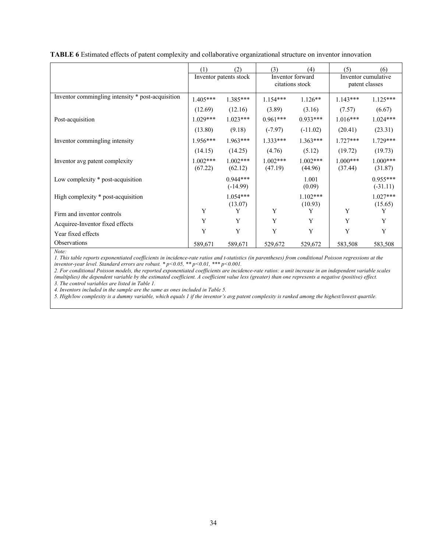|                                                   | (1)                    | (2)                      | (3)                   | (4)                   | (5)                                   | (6)                      |  |
|---------------------------------------------------|------------------------|--------------------------|-----------------------|-----------------------|---------------------------------------|--------------------------|--|
|                                                   | Inventor patents stock |                          | Inventor forward      | citations stock       | Inventor cumulative<br>patent classes |                          |  |
| Inventor commingling intensity * post-acquisition | $1.405***$             | $1.385***$               | $1.154***$            | $1.126**$             | $1.143***$                            | $1.125***$               |  |
|                                                   | (12.69)                | (12.16)                  | (3.89)                | (3.16)                | (7.57)                                | (6.67)                   |  |
| Post-acquisition                                  | $1.029***$             | $1.023***$               | $0.961***$            | $0.933***$            | $1.016***$                            | $1.024***$               |  |
|                                                   | (13.80)                | (9.18)                   | $(-7.97)$             | $(-11.02)$            | (20.41)                               | (23.31)                  |  |
| Inventor commingling intensity                    | $1.956***$             | $1.963***$               | $1.333***$            | $1.363***$            | $1.727***$                            | $1.729***$               |  |
|                                                   | (14.15)                | (14.25)                  | (4.76)                | (5.12)                | (19.72)                               | (19.73)                  |  |
| Inventor avg patent complexity                    | $1.002***$<br>(67.22)  | $1.002***$<br>(62.12)    | $1.002***$<br>(47.19) | $1.002***$<br>(44.96) | $1.000***$<br>(37.44)                 | $1.000***$<br>(31.87)    |  |
| Low complexity * post-acquisition                 |                        | $0.944***$<br>$(-14.99)$ |                       | 1.001<br>(0.09)       |                                       | $0.955***$<br>$(-31.11)$ |  |
| High complexity * post-acquisition                |                        | $1.054***$<br>(13.07)    |                       | $1.102***$<br>(10.93) |                                       | $1.027***$<br>(15.65)    |  |
| Firm and inventor controls                        | Y                      | Y                        | Y                     | Y                     | Y                                     | Y                        |  |
| Acquiree-Inventor fixed effects                   | Y                      | Y                        | Y                     | Y                     | Y                                     | Y                        |  |
| Year fixed effects                                | Y                      | Y                        | Y                     | Y                     | Y                                     | Y                        |  |
| Observations                                      | 589,671                | 589,671                  | 529,672               | 529,672               | 583,508                               | 583,508                  |  |

**TABLE 6** Estimated effects of patent complexity and collaborative organizational structure on inventor innovation

*1. This table reports exponentiated coefficients in incidence-rate ratios and t-statistics (in parentheses) from conditional Poisson regressions at the inventor-year level. Standard errors are robust. \* p<0.05, \*\* p<0.01, \*\*\* p<0.001.*

*2. For conditional Poisson models, the reported exponentiated coefficients are incidence-rate ratios: a unit increase in an independent variable scales (multiplies) the dependent variable by the estimated coefficient. A coefficient value less (greater) than one represents a negative (positive) effect. 3. The control variables are listed in Table 1.*

*4. Inventors included in the sample are the same as ones included in Table 5.* 

*5. High/low complexity is a dummy variable, which equals 1 if the inventor's avg patent complexity is ranked among the highest/lowest quartile.*

*Note:*